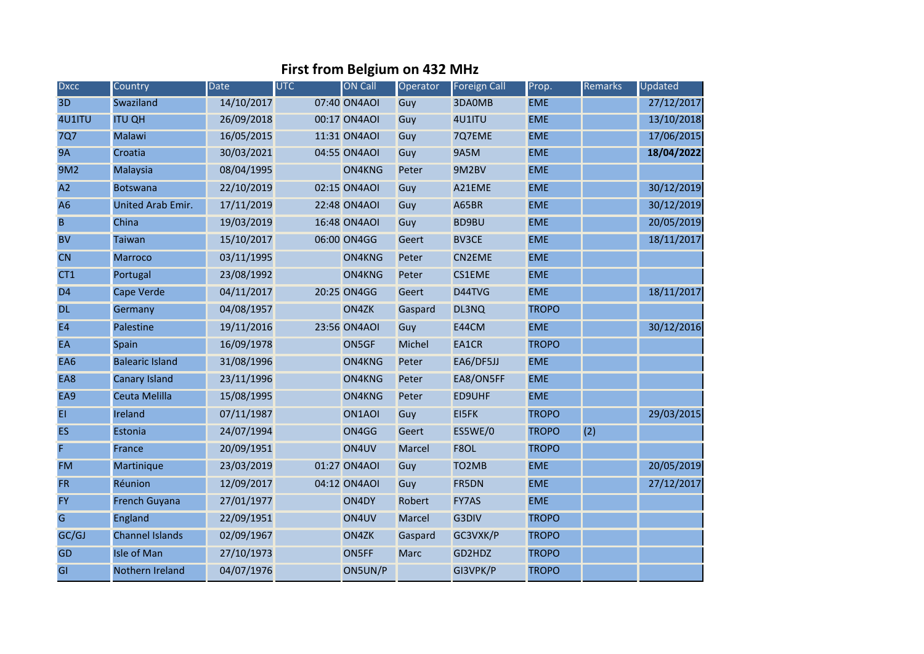## **First from Belgium on 432 MHz**

| <b>Dxcc</b>    | Country                  | <b>Date</b> | <b>UTC</b> | <b>ON Call</b> | Operator      | <b>Foreign Call</b> | Prop.        | Remarks | Updated    |
|----------------|--------------------------|-------------|------------|----------------|---------------|---------------------|--------------|---------|------------|
| 3D             | Swaziland                | 14/10/2017  |            | 07:40 ON4AOI   | Guy           | 3DA0MB              | <b>EME</b>   |         | 27/12/2017 |
| 4U1ITU         | <b>ITU QH</b>            | 26/09/2018  |            | 00:17 ON4AOI   | Guy           | 4U1ITU              | <b>EME</b>   |         | 13/10/2018 |
| <b>7Q7</b>     | <b>Malawi</b>            | 16/05/2015  |            | 11:31 ON4AOI   | Guy           | 7Q7EME              | <b>EME</b>   |         | 17/06/2015 |
| <b>9A</b>      | Croatia                  | 30/03/2021  |            | 04:55 ON4AOI   | Guy           | <b>9A5M</b>         | <b>EME</b>   |         | 18/04/2022 |
| 9M2            | Malaysia                 | 08/04/1995  |            | ON4KNG         | Peter         | 9M2BV               | <b>EME</b>   |         |            |
| A2             | <b>Botswana</b>          | 22/10/2019  |            | 02:15 ON4AOI   | Guy           | A21EME              | <b>EME</b>   |         | 30/12/2019 |
| A <sub>6</sub> | <b>United Arab Emir.</b> | 17/11/2019  |            | 22:48 ON4AOI   | Guy           | A65BR               | <b>EME</b>   |         | 30/12/2019 |
| B              | China                    | 19/03/2019  |            | 16:48 ON4AOI   | Guy           | <b>BD9BU</b>        | <b>EME</b>   |         | 20/05/2019 |
| <b>BV</b>      | <b>Taiwan</b>            | 15/10/2017  |            | 06:00 ON4GG    | Geert         | <b>BV3CE</b>        | <b>EME</b>   |         | 18/11/2017 |
| <b>CN</b>      | Marroco                  | 03/11/1995  |            | ON4KNG         | Peter         | <b>CN2EME</b>       | <b>EME</b>   |         |            |
| CT1            | Portugal                 | 23/08/1992  |            | ON4KNG         | Peter         | <b>CS1EME</b>       | <b>EME</b>   |         |            |
| D <sub>4</sub> | Cape Verde               | 04/11/2017  |            | 20:25 ON4GG    | Geert         | D44TVG              | <b>EME</b>   |         | 18/11/2017 |
| <b>DL</b>      | Germany                  | 04/08/1957  |            | ON4ZK          | Gaspard       | DL3NQ               | <b>TROPO</b> |         |            |
| E4             | Palestine                | 19/11/2016  |            | 23:56 ON4AOI   | Guy           | E44CM               | <b>EME</b>   |         | 30/12/2016 |
| EA             | Spain                    | 16/09/1978  |            | ON5GF          | Michel        | EA1CR               | <b>TROPO</b> |         |            |
| EA6            | <b>Balearic Island</b>   | 31/08/1996  |            | ON4KNG         | Peter         | EA6/DF5JJ           | <b>EME</b>   |         |            |
| EA8            | <b>Canary Island</b>     | 23/11/1996  |            | ON4KNG         | Peter         | EA8/ON5FF           | <b>EME</b>   |         |            |
| EA9            | Ceuta Melilla            | 15/08/1995  |            | ON4KNG         | Peter         | ED9UHF              | <b>EME</b>   |         |            |
| EI             | Ireland                  | 07/11/1987  |            | ON1AOI         | Guy           | <b>EI5FK</b>        | <b>TROPO</b> |         | 29/03/2015 |
| <b>ES</b>      | Estonia                  | 24/07/1994  |            | ON4GG          | Geert         | ES5WE/0             | <b>TROPO</b> | (2)     |            |
| F              | France                   | 20/09/1951  |            | ON4UV          | <b>Marcel</b> | F8OL                | <b>TROPO</b> |         |            |
| <b>FM</b>      | Martinique               | 23/03/2019  |            | 01:27 ON4AOI   | Guy           | TO <sub>2</sub> MB  | <b>EME</b>   |         | 20/05/2019 |
| <b>FR</b>      | Réunion                  | 12/09/2017  |            | 04:12 ON4AOI   | Guy           | FR5DN               | <b>EME</b>   |         | 27/12/2017 |
| <b>FY</b>      | <b>French Guyana</b>     | 27/01/1977  |            | ON4DY          | Robert        | <b>FY7AS</b>        | <b>EME</b>   |         |            |
| G              | England                  | 22/09/1951  |            | ON4UV          | <b>Marcel</b> | G3DIV               | <b>TROPO</b> |         |            |
| GC/GJ          | <b>Channel Islands</b>   | 02/09/1967  |            | ON4ZK          | Gaspard       | GC3VXK/P            | <b>TROPO</b> |         |            |
| <b>GD</b>      | <b>Isle of Man</b>       | 27/10/1973  |            | ON5FF          | <b>Marc</b>   | GD2HDZ              | <b>TROPO</b> |         |            |
| GI             | Nothern Ireland          | 04/07/1976  |            | ON5UN/P        |               | GI3VPK/P            | <b>TROPO</b> |         |            |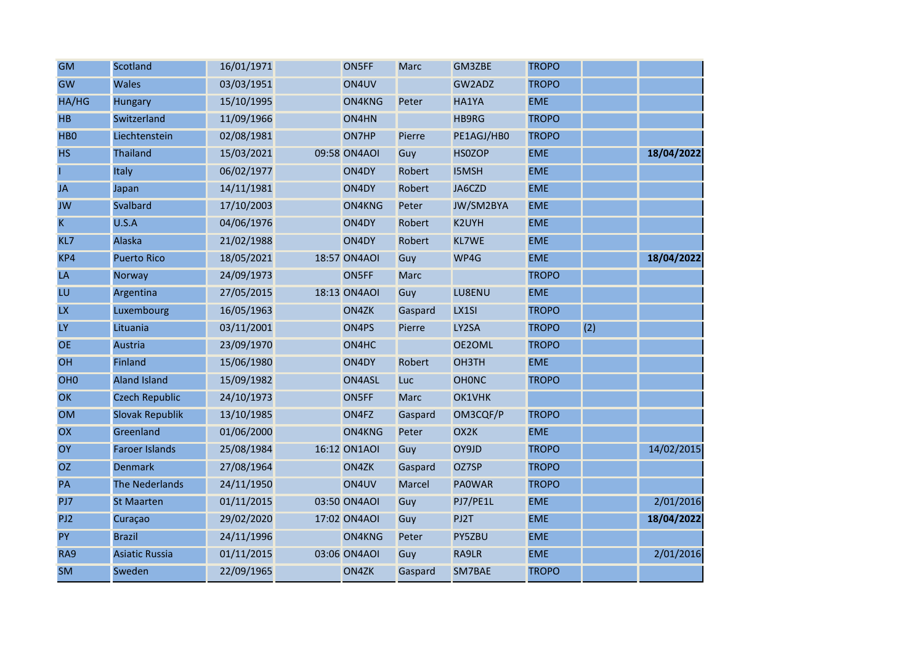| <b>GM</b>       | Scotland               | 16/01/1971 | ON5FF        | <b>Marc</b> | GM3ZBE            | <b>TROPO</b> |     |            |
|-----------------|------------------------|------------|--------------|-------------|-------------------|--------------|-----|------------|
| GW              | <b>Wales</b>           | 03/03/1951 | ON4UV        |             | GW2ADZ            | <b>TROPO</b> |     |            |
| HA/HG           | <b>Hungary</b>         | 15/10/1995 | ON4KNG       | Peter       | HA1YA             | <b>EME</b>   |     |            |
| <b>HB</b>       | Switzerland            | 11/09/1966 | ON4HN        |             | HB9RG             | <b>TROPO</b> |     |            |
| HB <sub>0</sub> | Liechtenstein          | 02/08/1981 | ON7HP        | Pierre      | PE1AGJ/HB0        | <b>TROPO</b> |     |            |
| <b>HS</b>       | <b>Thailand</b>        | 15/03/2021 | 09:58 ON4AOI | Guy         | <b>HSOZOP</b>     | <b>EME</b>   |     | 18/04/2022 |
|                 | Italy                  | 06/02/1977 | ON4DY        | Robert      | <b>I5MSH</b>      | <b>EME</b>   |     |            |
| <b>JA</b>       | Japan                  | 14/11/1981 | ON4DY        | Robert      | JA6CZD            | <b>EME</b>   |     |            |
| <b>JW</b>       | Svalbard               | 17/10/2003 | ON4KNG       | Peter       | JW/SM2BYA         | <b>EME</b>   |     |            |
| K               | U.S.A                  | 04/06/1976 | ON4DY        | Robert      | K2UYH             | <b>EME</b>   |     |            |
| KL7             | Alaska                 | 21/02/1988 | ON4DY        | Robert      | <b>KL7WE</b>      | <b>EME</b>   |     |            |
| KP4             | <b>Puerto Rico</b>     | 18/05/2021 | 18:57 ON4AOI | Guy         | WP4G              | <b>EME</b>   |     | 18/04/2022 |
| LA              | Norway                 | 24/09/1973 | ON5FF        | <b>Marc</b> |                   | <b>TROPO</b> |     |            |
| LU              | Argentina              | 27/05/2015 | 18:13 ON4AOI | Guy         | LU8ENU            | <b>EME</b>   |     |            |
| <b>LX</b>       | Luxembourg             | 16/05/1963 | ON4ZK        | Gaspard     | LX1SI             | <b>TROPO</b> |     |            |
| LY              | Lituania               | 03/11/2001 | ON4PS        | Pierre      | LY2SA             | <b>TROPO</b> | (2) |            |
| <b>OE</b>       | Austria                | 23/09/1970 | ON4HC        |             | OE2OML            | <b>TROPO</b> |     |            |
| OH              | <b>Finland</b>         | 15/06/1980 | ON4DY        | Robert      | OH3TH             | <b>EME</b>   |     |            |
| OH <sub>0</sub> | <b>Aland Island</b>    | 15/09/1982 | ON4ASL       | Luc         | <b>OHONC</b>      | <b>TROPO</b> |     |            |
| OK              | <b>Czech Republic</b>  | 24/10/1973 | ON5FF        | <b>Marc</b> | OK1VHK            |              |     |            |
| <b>OM</b>       | <b>Slovak Republik</b> | 13/10/1985 | ON4FZ        | Gaspard     | OM3CQF/P          | <b>TROPO</b> |     |            |
| OX              | Greenland              | 01/06/2000 | ON4KNG       | Peter       | OX <sub>2</sub> K | <b>EME</b>   |     |            |
| OY              | <b>Faroer Islands</b>  | 25/08/1984 | 16:12 ON1AOI | Guy         | OY9JD             | <b>TROPO</b> |     | 14/02/2015 |
| <b>OZ</b>       | <b>Denmark</b>         | 27/08/1964 | ON4ZK        | Gaspard     | OZ7SP             | <b>TROPO</b> |     |            |
| PA              | <b>The Nederlands</b>  | 24/11/1950 | ON4UV        | Marcel      | <b>PAOWAR</b>     | <b>TROPO</b> |     |            |
| PJ7             | <b>St Maarten</b>      | 01/11/2015 | 03:50 ON4AOI | Guy         | PJ7/PE1L          | <b>EME</b>   |     | 2/01/2016  |
| PJ <sub>2</sub> | Curaçao                | 29/02/2020 | 17:02 ON4AOI | Guy         | PJ2T              | <b>EME</b>   |     | 18/04/2022 |
| <b>PY</b>       | <b>Brazil</b>          | 24/11/1996 | ON4KNG       | Peter       | PY5ZBU            | <b>EME</b>   |     |            |
| RA9             | <b>Asiatic Russia</b>  | 01/11/2015 | 03:06 ON4AOI | Guy         | RA9LR             | <b>EME</b>   |     | 2/01/2016  |
| <b>SM</b>       | Sweden                 | 22/09/1965 | ON4ZK        | Gaspard     | SM7BAE            | <b>TROPO</b> |     |            |